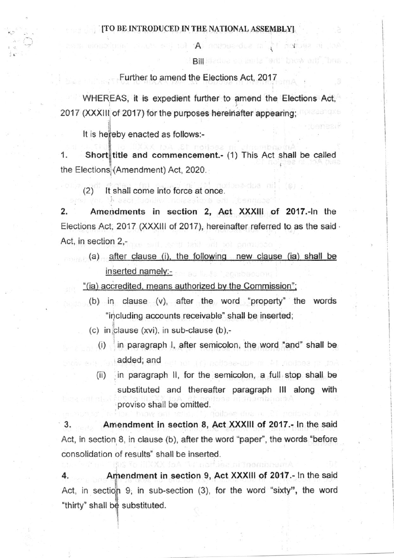**Bil** Bradua su listla "ent" brow ant<sup>"</sup> "bris

 $A$  and section  $\mathbf A$  for

i sectori i

Further to amend the Elections Act, 2017

2017 (XXXIII of 2017) for the purposes hereinafter appearing; and the state WHEREAS, it is expedient further to amend the Elections Act,

It is hereby enacted as follows:-

**lines and the contract** 1. Short title and commencement.- (1) This Act shall be called the Elections (Amendment) Act, 2020.

(2) lt shall come into force at once

2. Amendments in section 2, Act XXXlll of 2017.-ln the Elections Act, 2017 (XXXIII of 2017), hereinafter referred to as the said -Act, in section 2,-

(a) after clause (i), the following new clause (ia) shall be inserted namelv:-

'(ia) accredited. means authorized bv the Commission':

(b) in clause (v), after the word 'property" the words "including accounts receivable" shall be inserted;

 $(c)$  in clause (xvi), in sub-clause (b),-

- $(i)$  'in paragraph I, after semicolon, the word "and" shall be added; and
- (ii) in paragraph ll, for the semicolon, a full stop shall be substituted and thereafter paragraph lll along with proviso shall be omitted.

3. Amendment in section 8, Act XXXIII of 2017.- In the said Act, in section 8, in clause (b), after the word "paper", the words "before consolidation of results" shall be inserted.

Amendment in section 9, Act XXXIII of 2017.- In the said Act, in section 9, in sub-section (3), for the word "sixty", the word 4. "thirty" shall be substituted.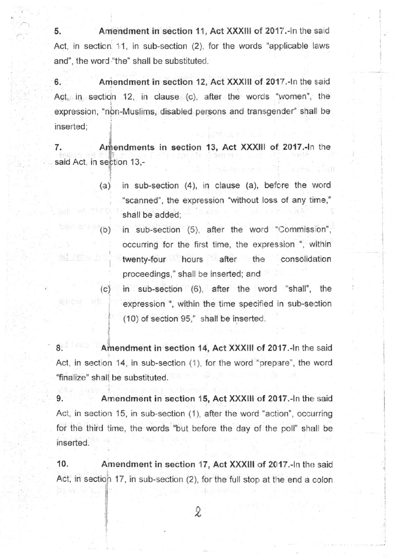5. Amendment in section 11, Act XXXIII of 2017. In the said Act, in section 11, in sub-section  $(2)$ , for the words "applicable laws" and", the word "the" shall be substituted.

6. Amendment in section 12, Act XXXIII of 2017.-In the said Act, in section 12, in clause (c), after the words "women", the expression, "non-Muslims, disabled persons and transgender" shall be inserted;

7. Amendments in section 13, Act XXXIII of 2017.-In the said Act, in section 13,-

ad. Ital

- $(a)$ in sub-section  $(4)$ , in clause  $(a)$ , before the word "scanned", the expression "without loss of any time," shall be added:
- in sub-section  $(5)$ , after the word "Commission", occurring for the first time, the expression ", within twenty-four hours after the consolidation proceedings,' shall be inserted: and (b)
- in sub-section (6), after the word "shall', the expression ", within the time specified in sub-section (10) of section 95," shall be inserted.  $(c)$

8. Amendment in section 14, Act XXXIII of 2017.-In the said Act, in section 14, in sub-section (1), for the word "prepare", the word 'finalize" shall be substituted.

9. Amendment in section 15, Act XXXIII of 2017.-In the said Act, in section 15, in sub-section (1), after the word "action", occurring for the third time, the words "but before the day of the poll" shall be inserted.

Amendment in section 17, Act XXXIII of 2017.-In the said Act, in section 17, in sub-section (2), for the full stop at the end a colon 10.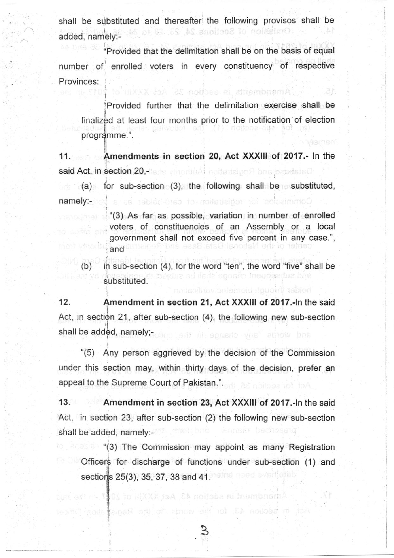shall be substituted and thereafter the following provisos shall be Omission of Sections 24, 25, 28 to added, namely:-

'Provided that the delimitation shall be on the basis of equal number of enrolled voters in every constituency of respective Provinces:

Provided further that the delimitation exercise shall be finalized at least four months prior to the notification of election programme.".

Amendments in saction 25. Act X20 iii

11. said Act, in section 20,-Amendments in section 20, Act XXXIII of 2017.- In the

(a) for sub-section (3), the following shall be substituted namely:- Commission for redistration of card-beit as a

"(3) As far as possible, variation in number of enrolled voters of constituencies of an Assembly or a local government shall not exceed five percent in any case.", and

(b) in sub-section  $(4)$ , for the word "ten", the word "five" shall be  $\frac{1}{2}$ substituted.

**12.** Amendment in section 21, Act XXXIII of 2017.-In the said Act, in section 21, after sub-section (4), the following new sub-section  $\mathfrak{h}$ shall be added, namely;-

"(5) Any person aggrieved by the decision of the Commission under this section may, within thirty days of the decision, prefer an appeal to the Supreme Court of Pakistan.'.

13. Amendment in section 23, Act XXXIII of 2017.-In the said Act, in section 23, after sub-section  $(2)$  the following new sub-section shall be added, namely:-

American in section 43, AS (Ho To Clark to To To

1 I

**(3)** The Commission may appoint as many Registration Officers for discharge of functions under sub-section (1) and sections 25(3), 35, 37, 38 and 41.

3